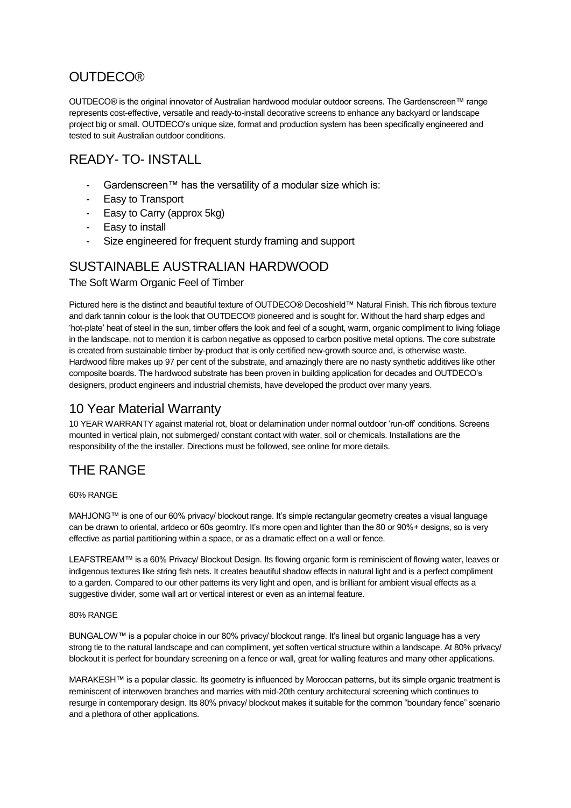## **OUTDECO®**

OUTDECO® is the original innovator of Australian hardwood modular outdoor screens. The Gardenscreen™ range represents cost-effective, versatile and ready-to-install decorative screens to enhance any backyard or landscape project big or small. OUTDECO's unique size, format and production system has been specifically engineered and tested to suit Australian outdoor conditions.

## READY- TO- INSTALL

- Gardenscreen™ has the versatility of a modular size which is:
- Easy to Transport
- Easy to Carry (approx 5kg)
- Easy to install
- Size engineered for frequent sturdy framing and support

#### SUSTAINABLE AUSTRALIAN HARDWOOD

The Soft Warm Organic Feel of Timber

Pictured here is the distinct and beautiful texture of OUTDECO® Decoshield™ Natural Finish. This rich fibrous texture and dark tannin colour is the look that OUTDECO® pioneered and is sought for. Without the hard sharp edges and 'hot-plate' heat of steel in the sun, timber offers the look and feel of a sought, warm, organic compliment to living foliage in the landscape, not to mention it is carbon negative as opposed to carbon positive metal options. The core substrate is created from sustainable timber by-product that is only certified new-growth source and, is otherwise waste. Hardwood fibre makes up 97 per cent of the substrate, and amazingly there are no nasty synthetic additives like other composite boards. The hardwood substrate has been proven in building application for decades and OUTDECO's designers, product engineers and industrial chemists, have developed the product over many years.

### 10 Year Material Warranty

10 YEAR WARRANTY against material rot, bloat or delamination under normal outdoor 'run-off' conditions. Screens mounted in vertical plain, not submerged/ constant contact with water, soil or chemicals. Installations are the responsibility of the the installer. Directions must be followed, see online for more details.

# THE RANGE

60% RANGE

MAHJONG™ is one of our 60% privacy/ blockout range. It's simple rectangular geometry creates a visual language can be drawn to oriental, artdeco or 60s geomtry. It's more open and lighter than the 80 or 90%+ designs, so is very effective as partial partitioning within a space, or as a dramatic effect on a wall or fence.

LEAFSTREAM™ is a 60% Privacy/ Blockout Design. Its flowing organic form is reminiscient of flowing water, leaves or indigenous textures like string fish nets. It creates beautiful shadow effects in natural light and is a perfect compliment to a garden. Compared to our other patterns its very light and open, and is brilliant for ambient visual effects as a suggestive divider, some wall art or vertical interest or even as an internal feature.

#### 80% RANGE

BUNGALOW™ is a popular choice in our 80% privacy/ blockout range. It's lineal but organic language has a very strong tie to the natural landscape and can compliment, yet soften vertical structure within a landscape. At 80% privacy/ blockout it is perfect for boundary screening on a fence or wall, great for walling features and many other applications.

MARAKESH™ is a popular classic. Its geometry is influenced by Moroccan patterns, but its simple organic treatment is reminiscent of interwoven branches and marries with mid-20th century architectural screening which continues to resurge in contemporary design. Its 80% privacy/ blockout makes it suitable for the common "boundary fence" scenario and a plethora of other applications.